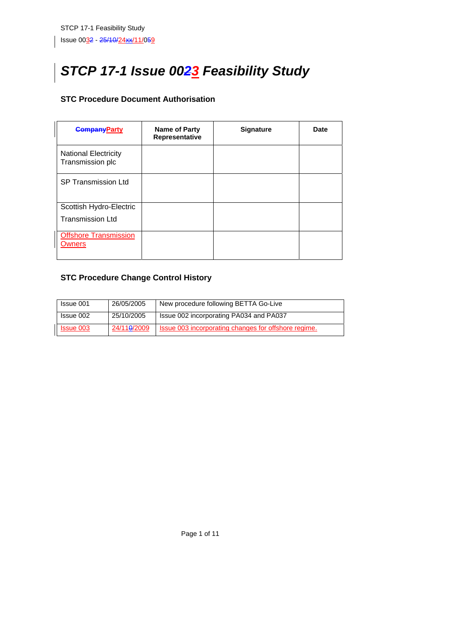# *STCP 17-1 Issue 0023 Feasibility Study*

## **STC Procedure Document Authorisation**

| <b>CompanyParty</b>                                | <b>Name of Party</b><br>Representative | <b>Signature</b> | Date |
|----------------------------------------------------|----------------------------------------|------------------|------|
| <b>National Electricity</b><br>Transmission plc    |                                        |                  |      |
| <b>SP Transmission Ltd</b>                         |                                        |                  |      |
| Scottish Hydro-Electric<br><b>Transmission Ltd</b> |                                        |                  |      |
| <b>Offshore Transmission</b><br>Owners             |                                        |                  |      |

# **STC Procedure Change Control History**

| Issue 001        | 26/05/2005               | New procedure following BETTA Go-Live                |
|------------------|--------------------------|------------------------------------------------------|
| Issue 002        | 25/10/2005               | Issue 002 incorporating PA034 and PA037              |
| <b>Issue 003</b> | 24/11 <del>0</del> /2009 | Issue 003 incorporating changes for offshore regime. |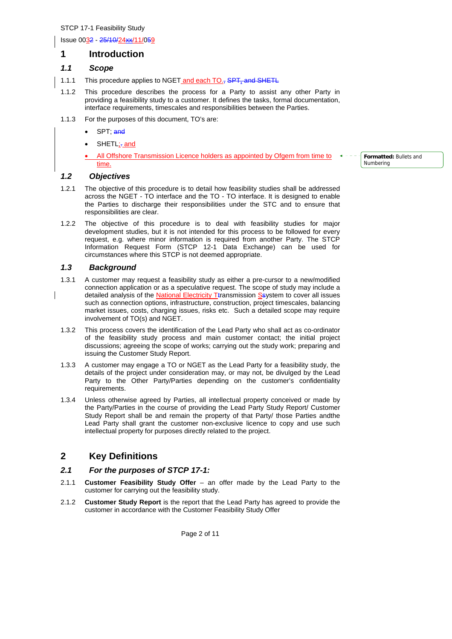Issue 0032 - 25/10/24xx/11/059

## **1 Introduction**

#### *1.1 Scope*

- 1.1.1 This procedure applies to NGET and each TO., SPT, and SHETL
- 1.1.2 This procedure describes the process for a Party to assist any other Party in providing a feasibility study to a customer. It defines the tasks, formal documentation, interface requirements, timescales and responsibilities between the Parties.
- 1.1.3 For the purposes of this document, TO's are:
	- SPT; and
	- SHETL<sub>i</sub>-and
	- All Offshore Transmission Licence holders as appointed by Ofgem from time to time.

#### *1.2 Objectives*

- 1.2.1 The objective of this procedure is to detail how feasibility studies shall be addressed across the NGET - TO interface and the TO - TO interface. It is designed to enable the Parties to discharge their responsibilities under the STC and to ensure that responsibilities are clear.
- 1.2.2 The objective of this procedure is to deal with feasibility studies for major development studies, but it is not intended for this process to be followed for every request, e.g. where minor information is required from another Party. The STCP Information Request Form (STCP 12-1 Data Exchange) can be used for circumstances where this STCP is not deemed appropriate.

#### *1.3 Background*

- 1.3.1 A customer may request a feasibility study as either a pre-cursor to a new/modified connection application or as a speculative request. The scope of study may include a detailed analysis of the National Electricity Ttransmission Ssystem to cover all issues such as connection options, infrastructure, construction, project timescales, balancing market issues, costs, charging issues, risks etc. Such a detailed scope may require involvement of TO(s) and NGET.
- 1.3.2 This process covers the identification of the Lead Party who shall act as co-ordinator of the feasibility study process and main customer contact; the initial project discussions; agreeing the scope of works; carrying out the study work; preparing and issuing the Customer Study Report.
- 1.3.3 A customer may engage a TO or NGET as the Lead Party for a feasibility study, the details of the project under consideration may, or may not, be divulged by the Lead Party to the Other Party/Parties depending on the customer's confidentiality requirements.
- 1.3.4 Unless otherwise agreed by Parties, all intellectual property conceived or made by the Party/Parties in the course of providing the Lead Party Study Report/ Customer Study Report shall be and remain the property of that Party/ those Parties andthe Lead Party shall grant the customer non-exclusive licence to copy and use such intellectual property for purposes directly related to the project.

# **2 Key Definitions**

#### *2.1 For the purposes of STCP 17-1:*

- 2.1.1 **Customer Feasibility Study Offer** an offer made by the Lead Party to the customer for carrying out the feasibility study.
- 2.1.2 **Customer Study Report** is the report that the Lead Party has agreed to provide the customer in accordance with the Customer Feasibility Study Offer

**Formatted:** Bullets and Numbering

Page 2 of 11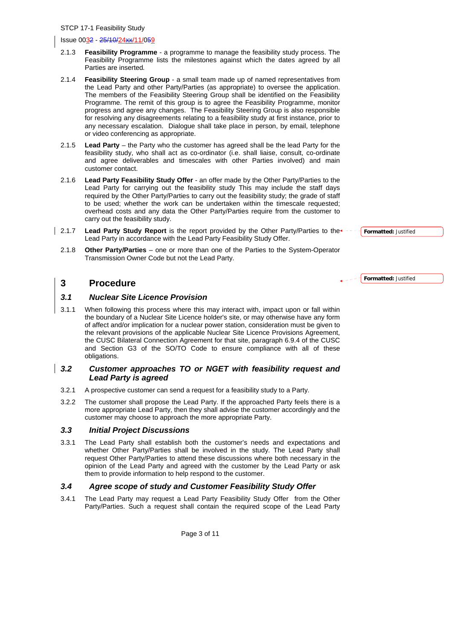#### Issue 0032 - 25/10/24xx/11/059

- 2.1.3 **Feasibility Programme**  a programme to manage the feasibility study process. The Feasibility Programme lists the milestones against which the dates agreed by all Parties are inserted*.*
- 2.1.4 **Feasibility Steering Group** a small team made up of named representatives from the Lead Party and other Party/Parties (as appropriate) to oversee the application. The members of the Feasibility Steering Group shall be identified on the Feasibility Programme. The remit of this group is to agree the Feasibility Programme, monitor progress and agree any changes. The Feasibility Steering Group is also responsible for resolving any disagreements relating to a feasibility study at first instance, prior to any necessary escalation. Dialogue shall take place in person, by email, telephone or video conferencing as appropriate.
- 2.1.5 **Lead Party** the Party who the customer has agreed shall be the lead Party for the feasibility study, who shall act as co-ordinator (i.e. shall liaise, consult, co-ordinate and agree deliverables and timescales with other Parties involved) and main customer contact.
- 2.1.6 **Lead Party Feasibility Study Offer** an offer made by the Other Party/Parties to the Lead Party for carrying out the feasibility study This may include the staff days required by the Other Party/Parties to carry out the feasibility study; the grade of staff to be used; whether the work can be undertaken within the timescale requested; overhead costs and any data the Other Party/Parties require from the customer to carry out the feasibility study.
- 2.1.7 **Lead Party Study Report** is the report provided by the Other Party/Parties to the Lead Party in accordance with the Lead Party Feasibility Study Offer.
	- 2.1.8 **Other Party/Parties** one or more than one of the Parties to the System-Operator Transmission Owner Code but not the Lead Party.

# **3 Procedure**

#### *3.1 Nuclear Site Licence Provision*

3.1.1 When following this process where this may interact with, impact upon or fall within the boundary of a Nuclear Site Licence holder's site, or may otherwise have any form of affect and/or implication for a nuclear power station, consideration must be given to the relevant provisions of the applicable Nuclear Site Licence Provisions Agreement, the CUSC Bilateral Connection Agreement for that site, paragraph 6.9.4 of the CUSC and Section G3 of the SO/TO Code to ensure compliance with all of these obligations.

#### *3.2 Customer approaches TO or NGET with feasibility request and Lead Party is agreed*

- 3.2.1 A prospective customer can send a request for a feasibility study to a Party.
- 3.2.2 The customer shall propose the Lead Party. If the approached Party feels there is a more appropriate Lead Party, then they shall advise the customer accordingly and the customer may choose to approach the more appropriate Party.

#### *3.3 Initial Project Discussions*

3.3.1 The Lead Party shall establish both the customer's needs and expectations and whether Other Party/Parties shall be involved in the study. The Lead Party shall request Other Party/Parties to attend these discussions where both necessary in the opinion of the Lead Party and agreed with the customer by the Lead Party or ask them to provide information to help respond to the customer.

#### *3.4 Agree scope of study and Customer Feasibility Study Offer*

3.4.1 The Lead Party may request a Lead Party Feasibility Study Offer from the Other Party/Parties. Such a request shall contain the required scope of the Lead Party **Formatted:** Justified

**Formatted:** Justified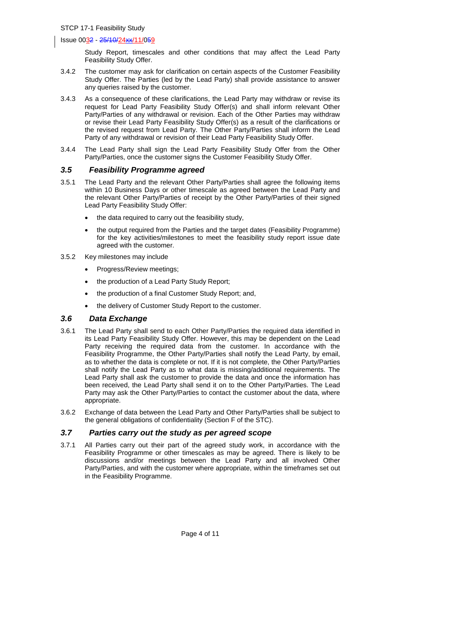#### Issue 0032 - 25/10/24xx/11/059

Study Report, timescales and other conditions that may affect the Lead Party Feasibility Study Offer.

- 3.4.2 The customer may ask for clarification on certain aspects of the Customer Feasibility Study Offer. The Parties (led by the Lead Party) shall provide assistance to answer any queries raised by the customer.
- 3.4.3 As a consequence of these clarifications, the Lead Party may withdraw or revise its request for Lead Party Feasibility Study Offer(s) and shall inform relevant Other Party/Parties of any withdrawal or revision. Each of the Other Parties may withdraw or revise their Lead Party Feasibility Study Offer(s) as a result of the clarifications or the revised request from Lead Party. The Other Party/Parties shall inform the Lead Party of any withdrawal or revision of their Lead Party Feasibility Study Offer.
- 3.4.4 The Lead Party shall sign the Lead Party Feasibility Study Offer from the Other Party/Parties, once the customer signs the Customer Feasibility Study Offer.

#### *3.5 Feasibility Programme agreed*

- 3.5.1 The Lead Party and the relevant Other Party/Parties shall agree the following items within 10 Business Days or other timescale as agreed between the Lead Party and the relevant Other Party/Parties of receipt by the Other Party/Parties of their signed Lead Party Feasibility Study Offer:
	- the data required to carry out the feasibility study,
	- the output required from the Parties and the target dates (Feasibility Programme) for the key activities/milestones to meet the feasibility study report issue date agreed with the customer.
- 3.5.2 Key milestones may include
	- Progress/Review meetings;
	- the production of a Lead Party Study Report;
	- the production of a final Customer Study Report; and,
	- the delivery of Customer Study Report to the customer.

#### *3.6 Data Exchange*

- 3.6.1 The Lead Party shall send to each Other Party/Parties the required data identified in its Lead Party Feasibility Study Offer. However, this may be dependent on the Lead Party receiving the required data from the customer. In accordance with the Feasibility Programme, the Other Party/Parties shall notify the Lead Party, by email, as to whether the data is complete or not. If it is not complete, the Other Party/Parties shall notify the Lead Party as to what data is missing/additional requirements. The Lead Party shall ask the customer to provide the data and once the information has been received, the Lead Party shall send it on to the Other Party/Parties. The Lead Party may ask the Other Party/Parties to contact the customer about the data, where appropriate.
- 3.6.2 Exchange of data between the Lead Party and Other Party/Parties shall be subject to the general obligations of confidentiality (Section F of the STC).

#### *3.7 Parties carry out the study as per agreed scope*

3.7.1 All Parties carry out their part of the agreed study work, in accordance with the Feasibility Programme or other timescales as may be agreed. There is likely to be discussions and/or meetings between the Lead Party and all involved Other Party/Parties, and with the customer where appropriate, within the timeframes set out in the Feasibility Programme.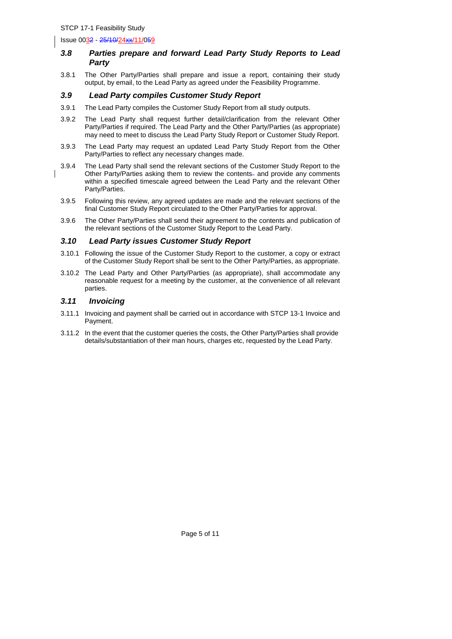Issue 0032 - 25/10/24xx/11/059

#### *3.8 Parties prepare and forward Lead Party Study Reports to Lead Party*

3.8.1 The Other Party/Parties shall prepare and issue a report, containing their study output, by email, to the Lead Party as agreed under the Feasibility Programme.

#### *3.9 Lead Party compiles Customer Study Report*

- 3.9.1 The Lead Party compiles the Customer Study Report from all study outputs.
- 3.9.2 The Lead Party shall request further detail/clarification from the relevant Other Party/Parties if required. The Lead Party and the Other Party/Parties (as appropriate) may need to meet to discuss the Lead Party Study Report or Customer Study Report.
- 3.9.3 The Lead Party may request an updated Lead Party Study Report from the Other Party/Parties to reflect any necessary changes made.
- 3.9.4 The Lead Party shall send the relevant sections of the Customer Study Report to the Other Party/Parties asking them to review the contents- and provide any comments within a specified timescale agreed between the Lead Party and the relevant Other Party/Parties.
- 3.9.5 Following this review, any agreed updates are made and the relevant sections of the final Customer Study Report circulated to the Other Party/Parties for approval.
- 3.9.6 The Other Party/Parties shall send their agreement to the contents and publication of the relevant sections of the Customer Study Report to the Lead Party.

#### *3.10 Lead Party issues Customer Study Report*

- 3.10.1 Following the issue of the Customer Study Report to the customer, a copy or extract of the Customer Study Report shall be sent to the Other Party/Parties, as appropriate.
- 3.10.2 The Lead Party and Other Party/Parties (as appropriate), shall accommodate any reasonable request for a meeting by the customer, at the convenience of all relevant parties.

#### *3.11 Invoicing*

- 3.11.1 Invoicing and payment shall be carried out in accordance with STCP 13-1 Invoice and Payment.
- 3.11.2 In the event that the customer queries the costs, the Other Party/Parties shall provide details/substantiation of their man hours, charges etc, requested by the Lead Party.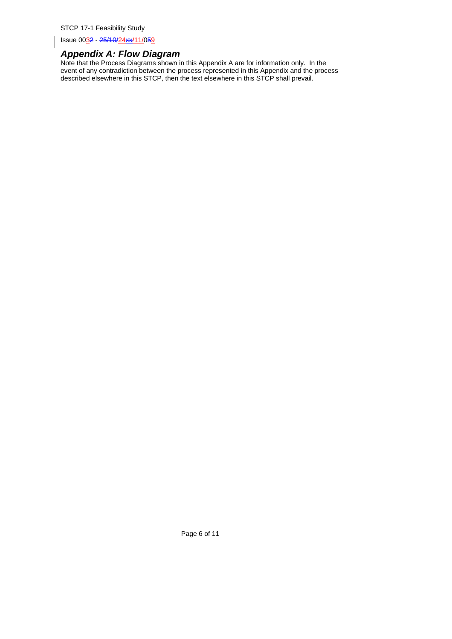Issue 0032 - 25/10/24xx/11/059

## *Appendix A: Flow Diagram*

Note that the Process Diagrams shown in this Appendix A are for information only. In the event of any contradiction between the process represented in this Appendix and the process described elsewhere in this STCP, then the text elsewhere in this STCP shall prevail.

Page 6 of 11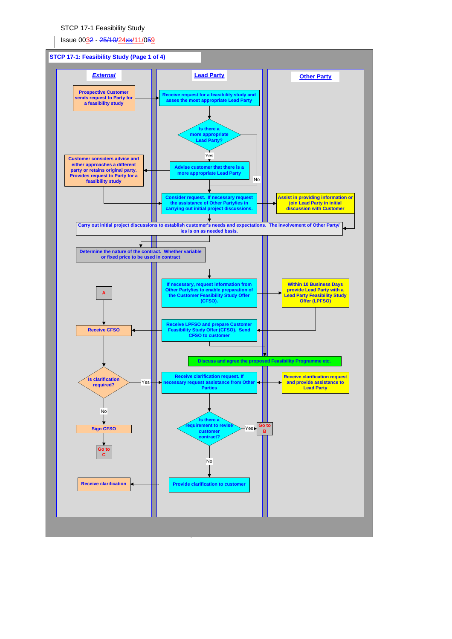Issue 0032 - 25/10/24xx/11/059

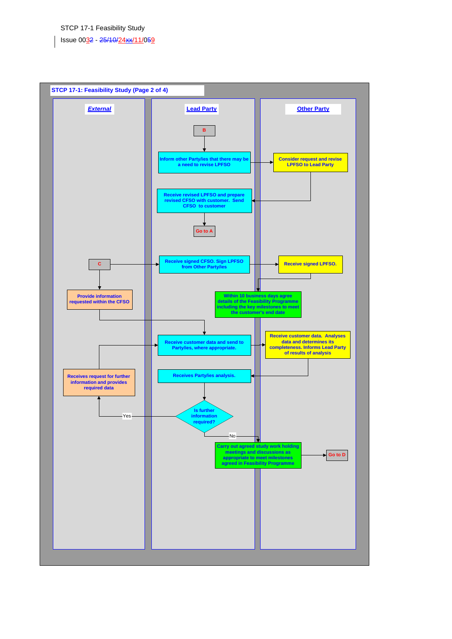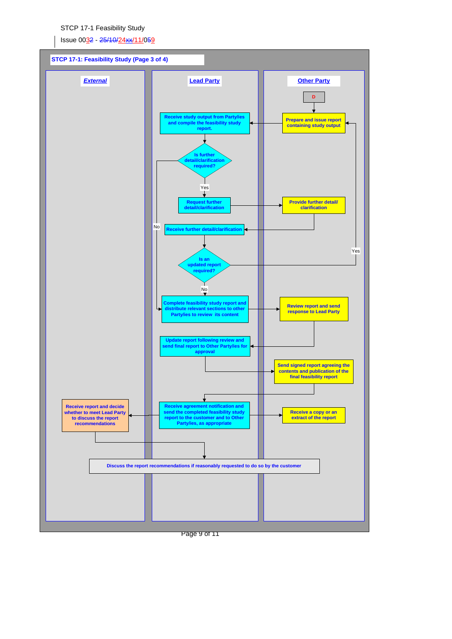Issue 0032 - 25/10/24xx/11/059



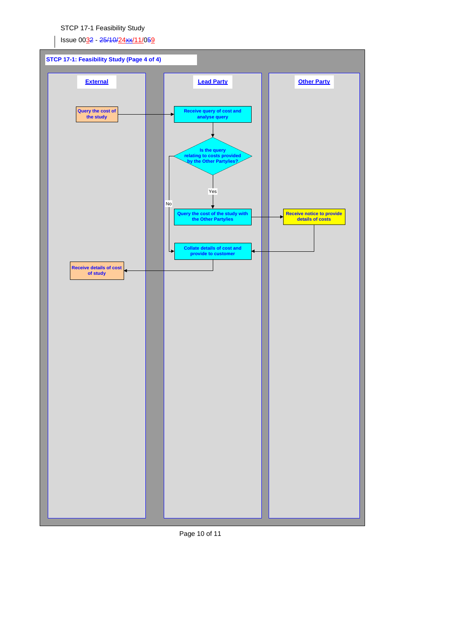Issue 0032 - 25/10/24xx/11/059



Page 10 of 11